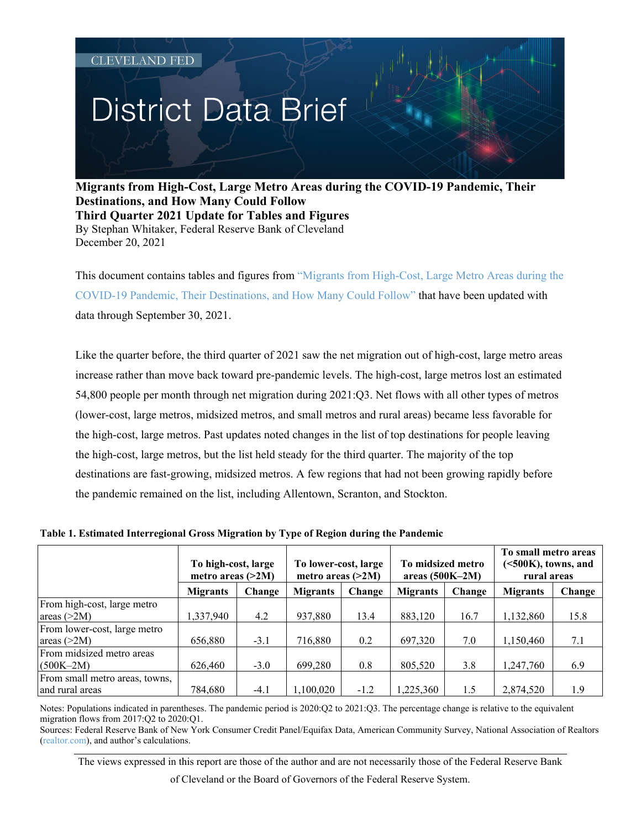## **District Data Brief**

**Migrants from High-Cost, Large Metro Areas during the COVID-19 Pandemic, Their Destinations, and How Many Could Follow Third Quarter 2021 Update for Tables and Figures** By Stephan Whitaker, Federal Reserve Bank of Cleveland December 20, 2021

This document contains tables and figures from ["Migrants from High-Cost, Large Metro Areas during the](https://www.clevelandfed.org/newsroom-and-events/publications/cfed-district-data-briefs/cfddb-20210325-migrants-from-high-cost-large-metro-areas-during-the-covid-19-pandemic.aspx)  [COVID-19 Pandemic, Their Destinations, and How Many Could Follow"](https://www.clevelandfed.org/newsroom-and-events/publications/cfed-district-data-briefs/cfddb-20210325-migrants-from-high-cost-large-metro-areas-during-the-covid-19-pandemic.aspx) that have been updated with data through September 30, 2021.

Like the quarter before, the third quarter of 2021 saw the net migration out of high-cost, large metro areas increase rather than move back toward pre-pandemic levels. The high-cost, large metros lost an estimated 54,800 people per month through net migration during 2021:Q3. Net flows with all other types of metros (lower-cost, large metros, midsized metros, and small metros and rural areas) became less favorable for the high-cost, large metros. Past updates noted changes in the list of top destinations for people leaving the high-cost, large metros, but the list held steady for the third quarter. The majority of the top destinations are fast-growing, midsized metros. A few regions that had not been growing rapidly before the pandemic remained on the list, including Allentown, Scranton, and Stockton.

|                                | To high-cost, large<br>metro areas $(>2M)$ |        | To lower-cost, large<br>metro areas $(>2M)$ |        | To midsized metro<br>areas $(500K-2M)$ |        | To small metro areas<br>(<500K), towns, and<br>rural areas |        |
|--------------------------------|--------------------------------------------|--------|---------------------------------------------|--------|----------------------------------------|--------|------------------------------------------------------------|--------|
|                                | <b>Migrants</b>                            | Change | <b>Migrants</b>                             | Change | <b>Migrants</b>                        | Change | <b>Migrants</b>                                            | Change |
| From high-cost, large metro    |                                            |        |                                             |        |                                        |        |                                                            |        |
| areas $(>2M)$                  | 1.337.940                                  | 4.2    | 937,880                                     | 13.4   | 883,120                                | 16.7   | 1,132,860                                                  | 15.8   |
| From lower-cost, large metro   |                                            |        |                                             |        |                                        |        |                                                            |        |
| areas $(>2M)$                  | 656,880                                    | $-3.1$ | 716,880                                     | 0.2    | 697,320                                | 7.0    | 1,150,460                                                  | 7.1    |
| From midsized metro areas      |                                            |        |                                             |        |                                        |        |                                                            |        |
| $(500K-2M)$                    | 626,460                                    | $-3.0$ | 699,280                                     | 0.8    | 805,520                                | 3.8    | ,247,760                                                   | 6.9    |
| From small metro areas, towns, |                                            |        |                                             |        |                                        |        |                                                            |        |
| and rural areas                | 784.680                                    | $-4.1$ | 1,100,020                                   | $-1.2$ | 1,225,360                              | 1.5    | 2,874,520                                                  | 1.9    |

## **Table 1. Estimated Interregional Gross Migration by Type of Region during the Pandemic**

Notes: Populations indicated in parentheses. The pandemic period is 2020:Q2 to 2021:Q3. The percentage change is relative to the equivalent migration flows from 2017:Q2 to 2020:Q1.

Sources: Federal Reserve Bank of New York Consumer Credit Panel/Equifax Data, American Community Survey, National Association of Realtors [\(realtor.com\)](https://www.realtor.com/research/data/), and author's calculations.

The views expressed in this report are those of the author and are not necessarily those of the Federal Reserve Bank

of Cleveland or the Board of Governors of the Federal Reserve System.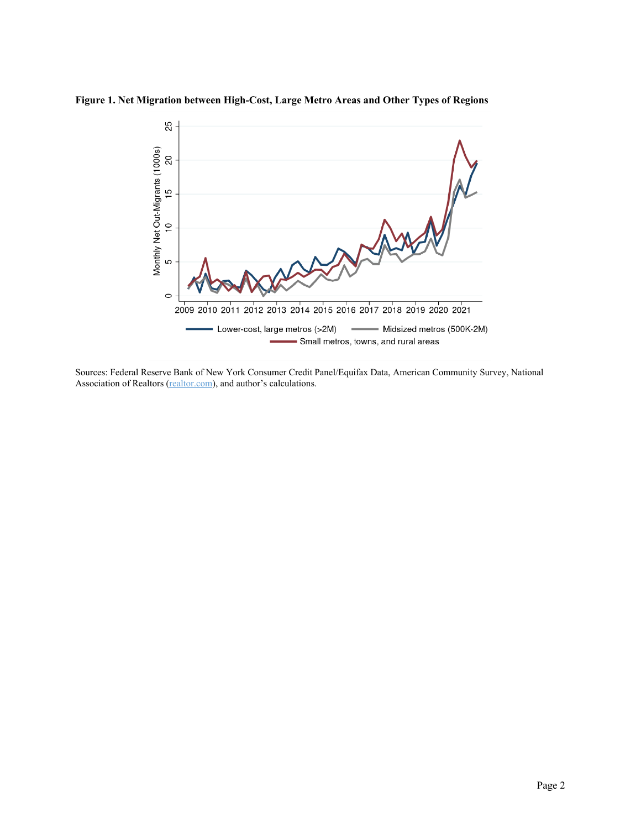

**Figure 1. Net Migration between High-Cost, Large Metro Areas and Other Types of Regions**

Sources: Federal Reserve Bank of New York Consumer Credit Panel/Equifax Data, American Community Survey, National Association of Realtors [\(realtor.com\)](https://www.realtor.com/research/data/), and author's calculations.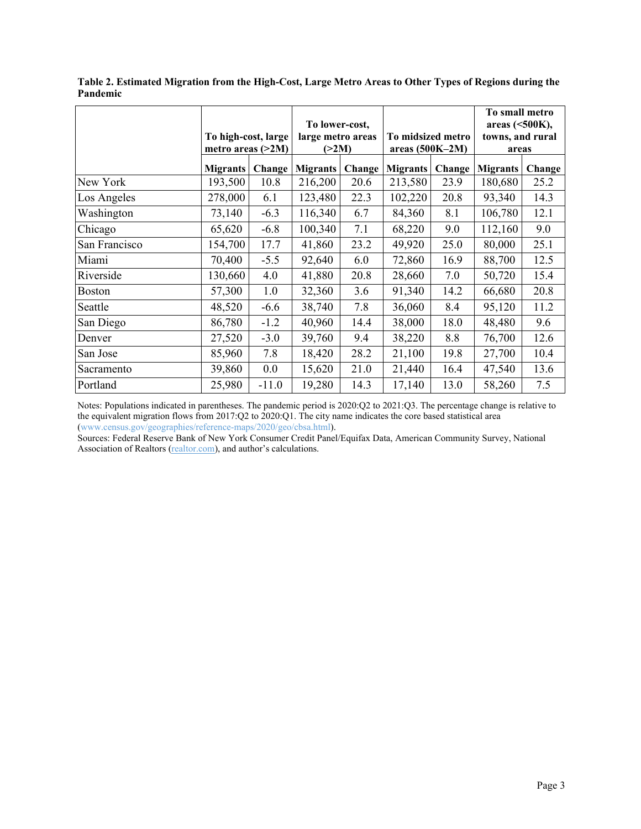|               | To high-cost, large<br>metro areas $(>2M)$ |         | To lower-cost,<br>large metro areas<br>(>2M) |        | To midsized metro<br>areas (500K-2M) |        | To small metro<br>areas $(<500K)$ ,<br>towns, and rural<br>areas |        |
|---------------|--------------------------------------------|---------|----------------------------------------------|--------|--------------------------------------|--------|------------------------------------------------------------------|--------|
|               |                                            |         |                                              |        |                                      |        |                                                                  |        |
|               | <b>Migrants</b>                            | Change  | <b>Migrants</b>                              | Change | <b>Migrants</b>                      | Change | <b>Migrants</b>                                                  | Change |
| New York      | 193,500                                    | 10.8    | 216,200                                      | 20.6   | 213,580                              | 23.9   | 180,680                                                          | 25.2   |
| Los Angeles   | 278,000                                    | 6.1     | 123,480                                      | 22.3   | 102,220                              | 20.8   | 93,340                                                           | 14.3   |
| Washington    | 73,140                                     | $-6.3$  | 116,340                                      | 6.7    | 84,360                               | 8.1    | 106,780                                                          | 12.1   |
| Chicago       | 65,620                                     | $-6.8$  | 100,340                                      | 7.1    | 68,220                               | 9.0    | 112,160                                                          | 9.0    |
| San Francisco | 154,700                                    | 17.7    | 41,860                                       | 23.2   | 49,920                               | 25.0   | 80,000                                                           | 25.1   |
| Miami         | 70,400                                     | $-5.5$  | 92,640                                       | 6.0    | 72,860                               | 16.9   | 88,700                                                           | 12.5   |
| Riverside     | 130,660                                    | 4.0     | 41,880                                       | 20.8   | 28,660                               | 7.0    | 50,720                                                           | 15.4   |
| <b>Boston</b> | 57,300                                     | 1.0     | 32,360                                       | 3.6    | 91,340                               | 14.2   | 66,680                                                           | 20.8   |
| Seattle       | 48,520                                     | $-6.6$  | 38,740                                       | 7.8    | 36,060                               | 8.4    | 95,120                                                           | 11.2   |
| San Diego     | 86,780                                     | $-1.2$  | 40,960                                       | 14.4   | 38,000                               | 18.0   | 48,480                                                           | 9.6    |
| Denver        | 27,520                                     | $-3.0$  | 39,760                                       | 9.4    | 38,220                               | 8.8    | 76,700                                                           | 12.6   |
| San Jose      | 85,960                                     | 7.8     | 18,420                                       | 28.2   | 21,100                               | 19.8   | 27,700                                                           | 10.4   |
| Sacramento    | 39,860                                     | 0.0     | 15,620                                       | 21.0   | 21,440                               | 16.4   | 47,540                                                           | 13.6   |
| Portland      | 25,980                                     | $-11.0$ | 19,280                                       | 14.3   | 17,140                               | 13.0   | 58,260                                                           | 7.5    |

**Table 2. Estimated Migration from the High-Cost, Large Metro Areas to Other Types of Regions during the Pandemic** 

Notes: Populations indicated in parentheses. The pandemic period is 2020:Q2 to 2021:Q3. The percentage change is relative to the equivalent migration flows from 2017:Q2 to 2020:Q1. The city name indicates the core based statistical area [\(www.census.gov/geographies/reference-maps/2020/geo/cbsa.html\)](https://www.census.gov/geographies/reference-maps/2020/geo/cbsa.html).

Sources: Federal Reserve Bank of New York Consumer Credit Panel/Equifax Data, American Community Survey, National Association of Realtors [\(realtor.com\)](https://www.realtor.com/research/data/), and author's calculations.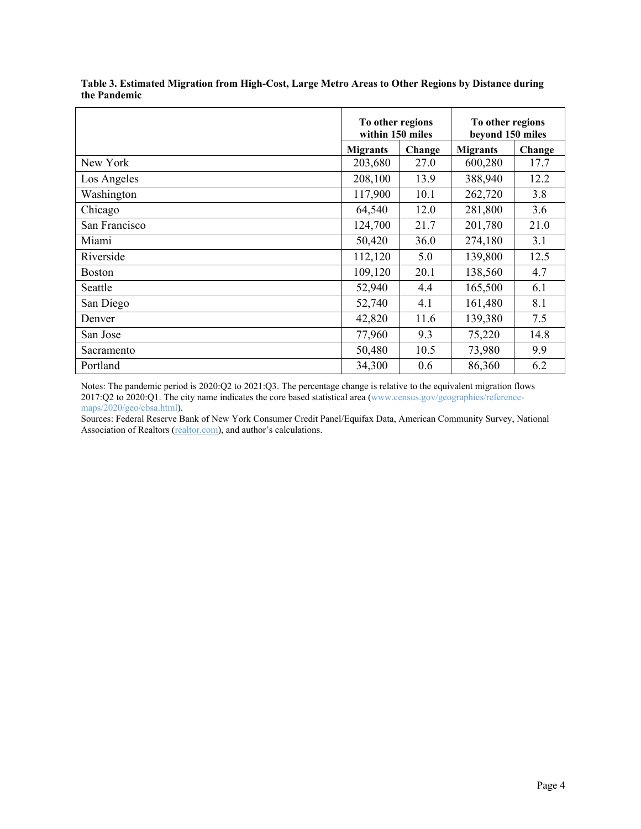|               | To other regions<br>within 150 miles |        | To other regions<br>beyond 150 miles |        |  |
|---------------|--------------------------------------|--------|--------------------------------------|--------|--|
|               | <b>Migrants</b>                      | Change | <b>Migrants</b>                      | Change |  |
| New York      | 203,680                              | 27.0   | 600,280                              | 17.7   |  |
| Los Angeles   | 208,100                              | 13.9   | 388,940                              | 12.2   |  |
| Washington    | 117,900                              | 10.1   | 262,720                              | 3.8    |  |
| Chicago       | 64,540                               | 12.0   | 281,800                              | 3.6    |  |
| San Francisco | 124,700                              | 21.7   | 201,780                              | 21.0   |  |
| Miami         | 50,420                               | 36.0   | 274,180                              | 3.1    |  |
| Riverside     | 112,120                              | 5.0    | 139,800                              | 12.5   |  |
| <b>Boston</b> | 109,120                              | 20.1   | 138,560                              | 4.7    |  |
| Seattle       | 52,940                               | 4.4    | 165,500                              | 6.1    |  |
| San Diego     | 52,740                               | 4.1    | 161,480                              | 8.1    |  |
| Denver        | 42,820                               | 11.6   | 139,380                              | 7.5    |  |
| San Jose      | 77,960                               | 9.3    | 75,220                               | 14.8   |  |
| Sacramento    | 50,480                               | 10.5   | 73,980                               | 9.9    |  |
| Portland      | 34,300                               | 0.6    | 86,360                               | 6.2    |  |

**Table 3. Estimated Migration from High-Cost, Large Metro Areas to Other Regions by Distance during the Pandemic** 

Notes: The pandemic period is 2020:Q2 to 2021:Q3. The percentage change is relative to the equivalent migration flows 2017:Q2 to 2020:Q1. The city name indicates the core based statistical area [\(www.census.gov/geographies/reference](https://www.census.gov/geographies/reference-maps/2020/geo/cbsa.html)[maps/2020/geo/cbsa.html\)](https://www.census.gov/geographies/reference-maps/2020/geo/cbsa.html).

Sources: Federal Reserve Bank of New York Consumer Credit Panel/Equifax Data, American Community Survey, National Association of Realtors [\(realtor.com\)](https://www.realtor.com/research/data/), and author's calculations.